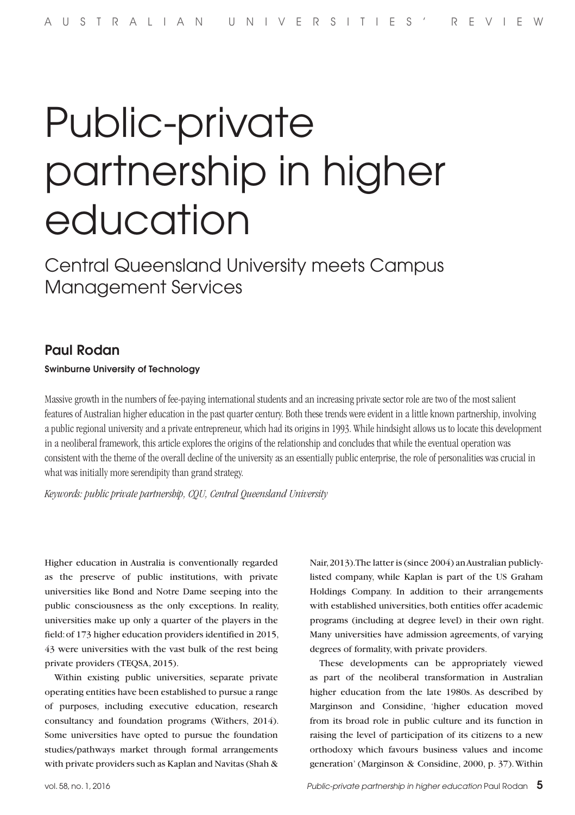# Public-private partnership in higher education

Central Queensland University meets Campus Management Services

## Paul Rodan

#### Swinburne University of Technology

Massive growth in the numbers of fee-paying international students and an increasing private sector role are two of the most salient features of Australian higher education in the past quarter century. Both these trends were evident in a little known partnership, involving a public regional university and a private entrepreneur, which had its origins in 1993. While hindsight allows us to locate this development in a neoliberal framework, this article explores the origins of the relationship and concludes that while the eventual operation was consistent with the theme of the overall decline of the university as an essentially public enterprise, the role of personalities was crucial in what was initially more serendipity than grand strategy.

*Keywords: public private partnership, CQU, Central Queensland University*

Higher education in Australia is conventionally regarded as the preserve of public institutions, with private universities like Bond and Notre Dame seeping into the public consciousness as the only exceptions. In reality, universities make up only a quarter of the players in the field: of 173 higher education providers identified in 2015, 43 were universities with the vast bulk of the rest being private providers (TEQSA, 2015).

Within existing public universities, separate private operating entities have been established to pursue a range of purposes, including executive education, research consultancy and foundation programs (Withers, 2014). Some universities have opted to pursue the foundation studies/pathways market through formal arrangements with private providers such as Kaplan and Navitas (Shah &

Nair, 2013). The latter is (since 2004) an Australian publiclylisted company, while Kaplan is part of the US Graham Holdings Company. In addition to their arrangements with established universities, both entities offer academic programs (including at degree level) in their own right. Many universities have admission agreements, of varying degrees of formality, with private providers.

These developments can be appropriately viewed as part of the neoliberal transformation in Australian higher education from the late 1980s. As described by Marginson and Considine, 'higher education moved from its broad role in public culture and its function in raising the level of participation of its citizens to a new orthodoxy which favours business values and income generation' (Marginson & Considine, 2000, p. 37). Within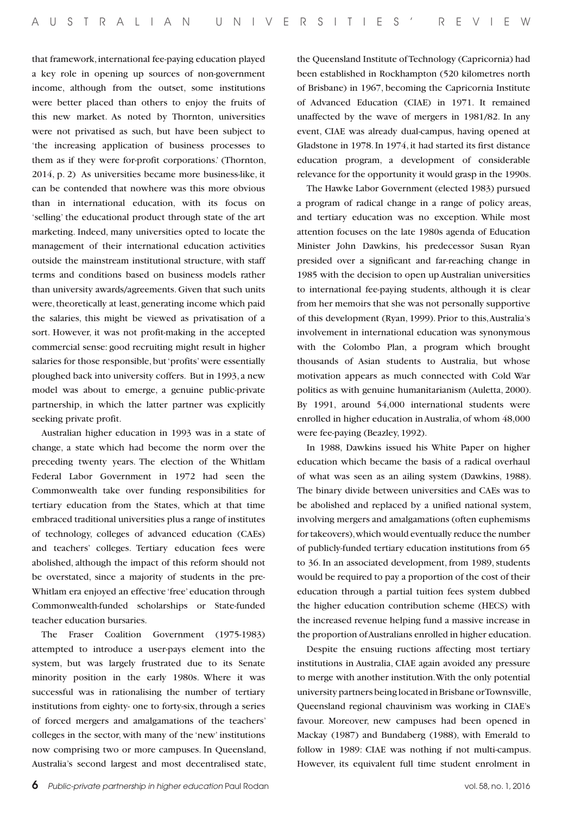that framework, international fee-paying education played a key role in opening up sources of non-government income, although from the outset, some institutions were better placed than others to enjoy the fruits of this new market. As noted by Thornton, universities were not privatised as such, but have been subject to 'the increasing application of business processes to them as if they were for-profit corporations.' (Thornton, 2014, p. 2) As universities became more business-like, it can be contended that nowhere was this more obvious than in international education, with its focus on 'selling' the educational product through state of the art marketing. Indeed, many universities opted to locate the management of their international education activities outside the mainstream institutional structure, with staff terms and conditions based on business models rather than university awards/agreements. Given that such units were, theoretically at least, generating income which paid the salaries, this might be viewed as privatisation of a sort. However, it was not profit-making in the accepted commercial sense: good recruiting might result in higher salaries for those responsible, but 'profits' were essentially ploughed back into university coffers. But in 1993, a new model was about to emerge, a genuine public-private partnership, in which the latter partner was explicitly seeking private profit.

Australian higher education in 1993 was in a state of change, a state which had become the norm over the preceding twenty years. The election of the Whitlam Federal Labor Government in 1972 had seen the Commonwealth take over funding responsibilities for tertiary education from the States, which at that time embraced traditional universities plus a range of institutes of technology, colleges of advanced education (CAEs) and teachers' colleges. Tertiary education fees were abolished, although the impact of this reform should not be overstated, since a majority of students in the pre-Whitlam era enjoyed an effective 'free' education through Commonwealth-funded scholarships or State-funded teacher education bursaries.

The Fraser Coalition Government (1975-1983) attempted to introduce a user-pays element into the system, but was largely frustrated due to its Senate minority position in the early 1980s. Where it was successful was in rationalising the number of tertiary institutions from eighty- one to forty-six, through a series of forced mergers and amalgamations of the teachers' colleges in the sector, with many of the 'new' institutions now comprising two or more campuses. In Queensland, Australia's second largest and most decentralised state, the Queensland Institute of Technology (Capricornia) had been established in Rockhampton (520 kilometres north of Brisbane) in 1967, becoming the Capricornia Institute of Advanced Education (CIAE) in 1971. It remained unaffected by the wave of mergers in 1981/82. In any event, CIAE was already dual-campus, having opened at Gladstone in 1978. In 1974, it had started its first distance education program, a development of considerable relevance for the opportunity it would grasp in the 1990s.

The Hawke Labor Government (elected 1983) pursued a program of radical change in a range of policy areas, and tertiary education was no exception. While most attention focuses on the late 1980s agenda of Education Minister John Dawkins, his predecessor Susan Ryan presided over a significant and far-reaching change in 1985 with the decision to open up Australian universities to international fee-paying students, although it is clear from her memoirs that she was not personally supportive of this development (Ryan, 1999). Prior to this, Australia's involvement in international education was synonymous with the Colombo Plan, a program which brought thousands of Asian students to Australia, but whose motivation appears as much connected with Cold War politics as with genuine humanitarianism (Auletta, 2000). By 1991, around 54,000 international students were enrolled in higher education in Australia, of whom 48,000 were fee-paying (Beazley, 1992).

In 1988, Dawkins issued his White Paper on higher education which became the basis of a radical overhaul of what was seen as an ailing system (Dawkins, 1988). The binary divide between universities and CAEs was to be abolished and replaced by a unified national system, involving mergers and amalgamations (often euphemisms for takeovers), which would eventually reduce the number of publicly-funded tertiary education institutions from 65 to 36. In an associated development, from 1989, students would be required to pay a proportion of the cost of their education through a partial tuition fees system dubbed the higher education contribution scheme (HECS) with the increased revenue helping fund a massive increase in the proportion of Australians enrolled in higher education.

Despite the ensuing ructions affecting most tertiary institutions in Australia, CIAE again avoided any pressure to merge with another institution. With the only potential university partners being located in Brisbane or Townsville, Queensland regional chauvinism was working in CIAE's favour. Moreover, new campuses had been opened in Mackay (1987) and Bundaberg (1988), with Emerald to follow in 1989: CIAE was nothing if not multi-campus. However, its equivalent full time student enrolment in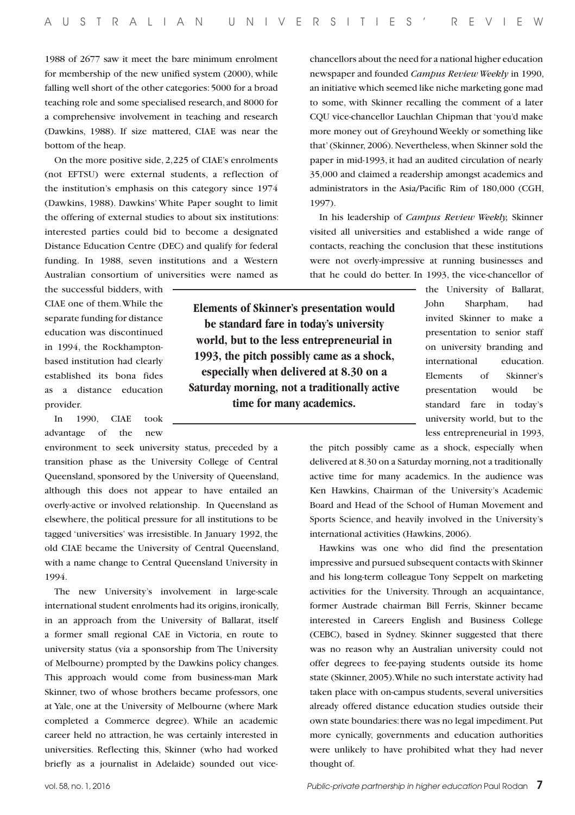1988 of 2677 saw it meet the bare minimum enrolment for membership of the new unified system (2000), while falling well short of the other categories: 5000 for a broad teaching role and some specialised research, and 8000 for a comprehensive involvement in teaching and research (Dawkins, 1988). If size mattered, CIAE was near the bottom of the heap.

On the more positive side, 2,225 of CIAE's enrolments (not EFTSU) were external students, a reflection of the institution's emphasis on this category since 1974 (Dawkins, 1988). Dawkins' White Paper sought to limit the offering of external studies to about six institutions: interested parties could bid to become a designated Distance Education Centre (DEC) and qualify for federal funding. In 1988, seven institutions and a Western Australian consortium of universities were named as

the successful bidders, with CIAE one of them. While the separate funding for distance education was discontinued in 1994, the Rockhamptonbased institution had clearly established its bona fides as a distance education provider.

In 1990, CIAE took advantage of the new

environment to seek university status, preceded by a transition phase as the University College of Central Queensland, sponsored by the University of Queensland, although this does not appear to have entailed an overly-active or involved relationship. In Queensland as elsewhere, the political pressure for all institutions to be tagged 'universities' was irresistible. In January 1992, the old CIAE became the University of Central Queensland, with a name change to Central Queensland University in 1994.

The new University's involvement in large-scale international student enrolments had its origins, ironically, in an approach from the University of Ballarat, itself a former small regional CAE in Victoria, en route to university status (via a sponsorship from The University of Melbourne) prompted by the Dawkins policy changes. This approach would come from business-man Mark Skinner, two of whose brothers became professors, one at Yale, one at the University of Melbourne (where Mark completed a Commerce degree). While an academic career held no attraction, he was certainly interested in universities. Reflecting this, Skinner (who had worked briefly as a journalist in Adelaide) sounded out vice-

**Elements of Skinner's presentation would be standard fare in today's university world, but to the less entrepreneurial in 1993, the pitch possibly came as a shock, especially when delivered at 8.30 on a Saturday morning, not a traditionally active time for many academics.**

chancellors about the need for a national higher education newspaper and founded *Campus Review Weekly* in 1990, an initiative which seemed like niche marketing gone mad to some, with Skinner recalling the comment of a later CQU vice-chancellor Lauchlan Chipman that 'you'd make more money out of Greyhound Weekly or something like that' (Skinner, 2006). Nevertheless, when Skinner sold the paper in mid-1993, it had an audited circulation of nearly 35,000 and claimed a readership amongst academics and administrators in the Asia/Pacific Rim of 180,000 (CGH, 1997).

In his leadership of *Campus Review Weekly,* Skinner visited all universities and established a wide range of contacts, reaching the conclusion that these institutions were not overly-impressive at running businesses and that he could do better. In 1993, the vice-chancellor of

> the University of Ballarat, John Sharpham, had invited Skinner to make a presentation to senior staff on university branding and international education. Elements of Skinner's presentation would be standard fare in today's university world, but to the less entrepreneurial in 1993,

the pitch possibly came as a shock, especially when delivered at 8.30 on a Saturday morning, not a traditionally active time for many academics. In the audience was Ken Hawkins, Chairman of the University's Academic Board and Head of the School of Human Movement and Sports Science, and heavily involved in the University's international activities (Hawkins, 2006).

Hawkins was one who did find the presentation impressive and pursued subsequent contacts with Skinner and his long-term colleague Tony Seppelt on marketing activities for the University. Through an acquaintance, former Austrade chairman Bill Ferris, Skinner became interested in Careers English and Business College (CEBC), based in Sydney. Skinner suggested that there was no reason why an Australian university could not offer degrees to fee-paying students outside its home state (Skinner, 2005). While no such interstate activity had taken place with on-campus students, several universities already offered distance education studies outside their own state boundaries: there was no legal impediment. Put more cynically, governments and education authorities were unlikely to have prohibited what they had never thought of.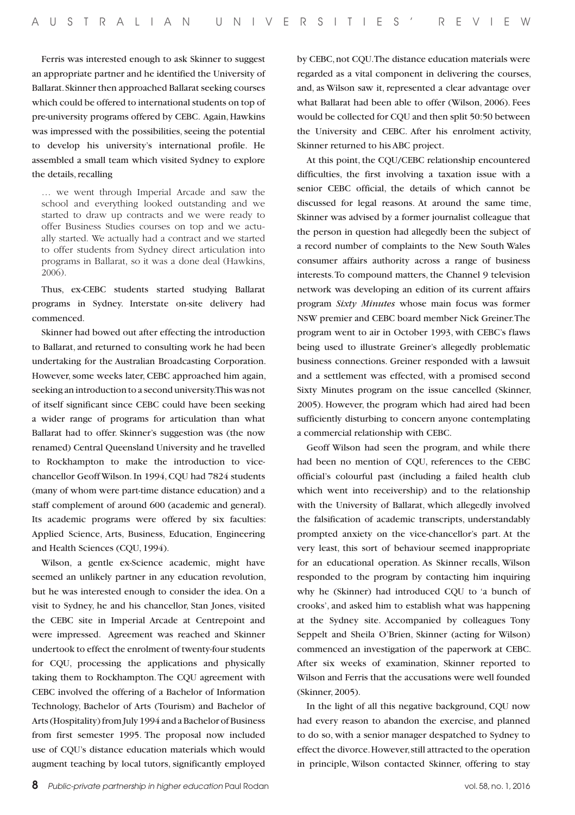Ferris was interested enough to ask Skinner to suggest an appropriate partner and he identified the University of Ballarat. Skinner then approached Ballarat seeking courses which could be offered to international students on top of pre-university programs offered by CEBC. Again, Hawkins was impressed with the possibilities, seeing the potential to develop his university's international profile. He assembled a small team which visited Sydney to explore the details, recalling

… we went through Imperial Arcade and saw the school and everything looked outstanding and we started to draw up contracts and we were ready to offer Business Studies courses on top and we actually started. We actually had a contract and we started to offer students from Sydney direct articulation into programs in Ballarat, so it was a done deal (Hawkins, 2006).

Thus, ex-CEBC students started studying Ballarat programs in Sydney. Interstate on-site delivery had commenced.

Skinner had bowed out after effecting the introduction to Ballarat, and returned to consulting work he had been undertaking for the Australian Broadcasting Corporation. However, some weeks later, CEBC approached him again, seeking an introduction to a second university. This was not of itself significant since CEBC could have been seeking a wider range of programs for articulation than what Ballarat had to offer. Skinner's suggestion was (the now renamed) Central Queensland University and he travelled to Rockhampton to make the introduction to vicechancellor Geoff Wilson. In 1994, CQU had 7824 students (many of whom were part-time distance education) and a staff complement of around 600 (academic and general). Its academic programs were offered by six faculties: Applied Science, Arts, Business, Education, Engineering and Health Sciences (CQU, 1994).

Wilson, a gentle ex-Science academic, might have seemed an unlikely partner in any education revolution, but he was interested enough to consider the idea. On a visit to Sydney, he and his chancellor, Stan Jones, visited the CEBC site in Imperial Arcade at Centrepoint and were impressed. Agreement was reached and Skinner undertook to effect the enrolment of twenty-four students for CQU, processing the applications and physically taking them to Rockhampton. The CQU agreement with CEBC involved the offering of a Bachelor of Information Technology, Bachelor of Arts (Tourism) and Bachelor of Arts (Hospitality) from July 1994 and a Bachelor of Business from first semester 1995. The proposal now included use of CQU's distance education materials which would augment teaching by local tutors, significantly employed

by CEBC, not CQU. The distance education materials were regarded as a vital component in delivering the courses, and, as Wilson saw it, represented a clear advantage over what Ballarat had been able to offer (Wilson, 2006). Fees would be collected for CQU and then split 50:50 between the University and CEBC. After his enrolment activity, Skinner returned to his ABC project.

At this point, the CQU/CEBC relationship encountered difficulties, the first involving a taxation issue with a senior CEBC official, the details of which cannot be discussed for legal reasons. At around the same time, Skinner was advised by a former journalist colleague that the person in question had allegedly been the subject of a record number of complaints to the New South Wales consumer affairs authority across a range of business interests. To compound matters, the Channel 9 television network was developing an edition of its current affairs program *Sixty Minutes* whose main focus was former NSW premier and CEBC board member Nick Greiner. The program went to air in October 1993, with CEBC's flaws being used to illustrate Greiner's allegedly problematic business connections. Greiner responded with a lawsuit and a settlement was effected, with a promised second Sixty Minutes program on the issue cancelled (Skinner, 2005). However, the program which had aired had been sufficiently disturbing to concern anyone contemplating a commercial relationship with CEBC.

Geoff Wilson had seen the program, and while there had been no mention of CQU, references to the CEBC official's colourful past (including a failed health club which went into receivership) and to the relationship with the University of Ballarat, which allegedly involved the falsification of academic transcripts, understandably prompted anxiety on the vice-chancellor's part. At the very least, this sort of behaviour seemed inappropriate for an educational operation. As Skinner recalls, Wilson responded to the program by contacting him inquiring why he (Skinner) had introduced CQU to 'a bunch of crooks', and asked him to establish what was happening at the Sydney site. Accompanied by colleagues Tony Seppelt and Sheila O'Brien, Skinner (acting for Wilson) commenced an investigation of the paperwork at CEBC. After six weeks of examination, Skinner reported to Wilson and Ferris that the accusations were well founded (Skinner, 2005).

In the light of all this negative background, CQU now had every reason to abandon the exercise, and planned to do so, with a senior manager despatched to Sydney to effect the divorce. However, still attracted to the operation in principle, Wilson contacted Skinner, offering to stay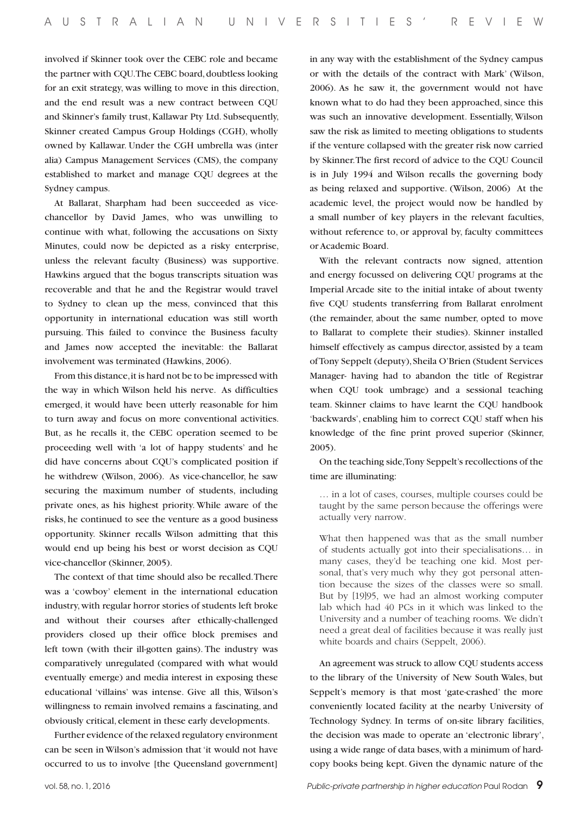involved if Skinner took over the CEBC role and became the partner with CQU. The CEBC board, doubtless looking for an exit strategy, was willing to move in this direction, and the end result was a new contract between CQU and Skinner's family trust, Kallawar Pty Ltd. Subsequently, Skinner created Campus Group Holdings (CGH), wholly owned by Kallawar. Under the CGH umbrella was (inter alia) Campus Management Services (CMS), the company established to market and manage CQU degrees at the Sydney campus.

At Ballarat, Sharpham had been succeeded as vicechancellor by David James, who was unwilling to continue with what, following the accusations on Sixty Minutes, could now be depicted as a risky enterprise, unless the relevant faculty (Business) was supportive. Hawkins argued that the bogus transcripts situation was recoverable and that he and the Registrar would travel to Sydney to clean up the mess, convinced that this opportunity in international education was still worth pursuing. This failed to convince the Business faculty and James now accepted the inevitable: the Ballarat involvement was terminated (Hawkins, 2006).

From this distance, it is hard not be to be impressed with the way in which Wilson held his nerve. As difficulties emerged, it would have been utterly reasonable for him to turn away and focus on more conventional activities. But, as he recalls it, the CEBC operation seemed to be proceeding well with 'a lot of happy students' and he did have concerns about CQU's complicated position if he withdrew (Wilson, 2006). As vice-chancellor, he saw securing the maximum number of students, including private ones, as his highest priority. While aware of the risks, he continued to see the venture as a good business opportunity. Skinner recalls Wilson admitting that this would end up being his best or worst decision as CQU vice-chancellor (Skinner, 2005).

The context of that time should also be recalled. There was a 'cowboy' element in the international education industry, with regular horror stories of students left broke and without their courses after ethically-challenged providers closed up their office block premises and left town (with their ill-gotten gains). The industry was comparatively unregulated (compared with what would eventually emerge) and media interest in exposing these educational 'villains' was intense. Give all this, Wilson's willingness to remain involved remains a fascinating, and obviously critical, element in these early developments.

Further evidence of the relaxed regulatory environment can be seen in Wilson's admission that 'it would not have occurred to us to involve [the Queensland government]

in any way with the establishment of the Sydney campus or with the details of the contract with Mark' (Wilson, 2006). As he saw it, the government would not have known what to do had they been approached, since this was such an innovative development. Essentially, Wilson saw the risk as limited to meeting obligations to students if the venture collapsed with the greater risk now carried by Skinner. The first record of advice to the CQU Council is in July 1994 and Wilson recalls the governing body as being relaxed and supportive. (Wilson, 2006) At the academic level, the project would now be handled by a small number of key players in the relevant faculties, without reference to, or approval by, faculty committees or Academic Board.

With the relevant contracts now signed, attention and energy focussed on delivering CQU programs at the Imperial Arcade site to the initial intake of about twenty five CQU students transferring from Ballarat enrolment (the remainder, about the same number, opted to move to Ballarat to complete their studies). Skinner installed himself effectively as campus director, assisted by a team of Tony Seppelt (deputy), Sheila O'Brien (Student Services Manager- having had to abandon the title of Registrar when CQU took umbrage) and a sessional teaching team. Skinner claims to have learnt the CQU handbook 'backwards', enabling him to correct CQU staff when his knowledge of the fine print proved superior (Skinner, 2005).

On the teaching side, Tony Seppelt's recollections of the time are illuminating:

… in a lot of cases, courses, multiple courses could be taught by the same person because the offerings were actually very narrow.

What then happened was that as the small number of students actually got into their specialisations… in many cases, they'd be teaching one kid. Most personal, that's very much why they got personal attention because the sizes of the classes were so small. But by [19]95, we had an almost working computer lab which had 40 PCs in it which was linked to the University and a number of teaching rooms. We didn't need a great deal of facilities because it was really just white boards and chairs (Seppelt, 2006).

An agreement was struck to allow CQU students access to the library of the University of New South Wales, but Seppelt's memory is that most 'gate-crashed' the more conveniently located facility at the nearby University of Technology Sydney. In terms of on-site library facilities, the decision was made to operate an 'electronic library', using a wide range of data bases, with a minimum of hardcopy books being kept. Given the dynamic nature of the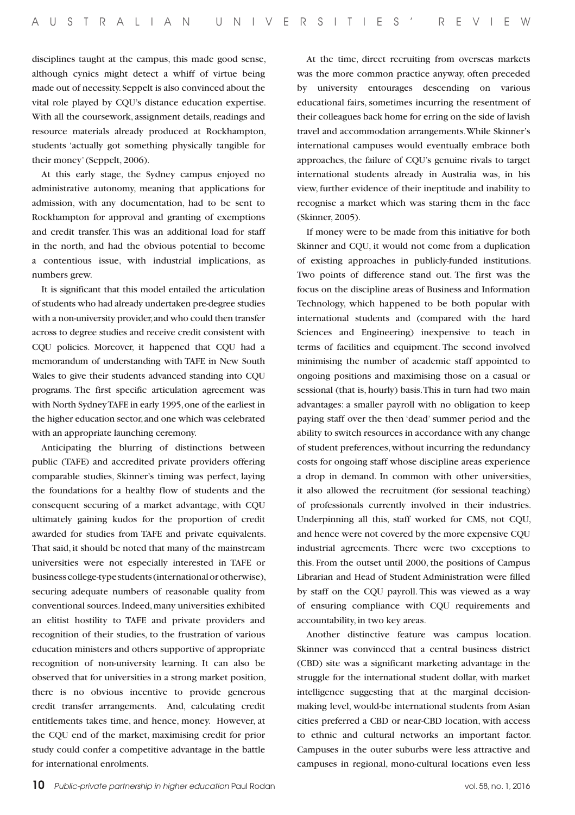disciplines taught at the campus, this made good sense, although cynics might detect a whiff of virtue being made out of necessity. Seppelt is also convinced about the vital role played by CQU's distance education expertise. With all the coursework, assignment details, readings and resource materials already produced at Rockhampton, students 'actually got something physically tangible for their money' (Seppelt, 2006).

At this early stage, the Sydney campus enjoyed no administrative autonomy, meaning that applications for admission, with any documentation, had to be sent to Rockhampton for approval and granting of exemptions and credit transfer. This was an additional load for staff in the north, and had the obvious potential to become a contentious issue, with industrial implications, as numbers grew.

It is significant that this model entailed the articulation of students who had already undertaken pre-degree studies with a non-university provider, and who could then transfer across to degree studies and receive credit consistent with CQU policies. Moreover, it happened that CQU had a memorandum of understanding with TAFE in New South Wales to give their students advanced standing into CQU programs. The first specific articulation agreement was with North Sydney TAFE in early 1995, one of the earliest in the higher education sector, and one which was celebrated with an appropriate launching ceremony.

Anticipating the blurring of distinctions between public (TAFE) and accredited private providers offering comparable studies, Skinner's timing was perfect, laying the foundations for a healthy flow of students and the consequent securing of a market advantage, with CQU ultimately gaining kudos for the proportion of credit awarded for studies from TAFE and private equivalents. That said, it should be noted that many of the mainstream universities were not especially interested in TAFE or business college-type students (international or otherwise), securing adequate numbers of reasonable quality from conventional sources. Indeed, many universities exhibited an elitist hostility to TAFE and private providers and recognition of their studies, to the frustration of various education ministers and others supportive of appropriate recognition of non-university learning. It can also be observed that for universities in a strong market position, there is no obvious incentive to provide generous credit transfer arrangements. And, calculating credit entitlements takes time, and hence, money. However, at the CQU end of the market, maximising credit for prior study could confer a competitive advantage in the battle for international enrolments.

At the time, direct recruiting from overseas markets was the more common practice anyway, often preceded by university entourages descending on various educational fairs, sometimes incurring the resentment of their colleagues back home for erring on the side of lavish travel and accommodation arrangements. While Skinner's international campuses would eventually embrace both approaches, the failure of CQU's genuine rivals to target international students already in Australia was, in his view, further evidence of their ineptitude and inability to recognise a market which was staring them in the face (Skinner, 2005).

If money were to be made from this initiative for both Skinner and CQU, it would not come from a duplication of existing approaches in publicly-funded institutions. Two points of difference stand out. The first was the focus on the discipline areas of Business and Information Technology, which happened to be both popular with international students and (compared with the hard Sciences and Engineering) inexpensive to teach in terms of facilities and equipment. The second involved minimising the number of academic staff appointed to ongoing positions and maximising those on a casual or sessional (that is, hourly) basis. This in turn had two main advantages: a smaller payroll with no obligation to keep paying staff over the then 'dead' summer period and the ability to switch resources in accordance with any change of student preferences, without incurring the redundancy costs for ongoing staff whose discipline areas experience a drop in demand. In common with other universities, it also allowed the recruitment (for sessional teaching) of professionals currently involved in their industries. Underpinning all this, staff worked for CMS, not CQU, and hence were not covered by the more expensive CQU industrial agreements. There were two exceptions to this. From the outset until 2000, the positions of Campus Librarian and Head of Student Administration were filled by staff on the CQU payroll. This was viewed as a way of ensuring compliance with CQU requirements and accountability, in two key areas.

Another distinctive feature was campus location. Skinner was convinced that a central business district (CBD) site was a significant marketing advantage in the struggle for the international student dollar, with market intelligence suggesting that at the marginal decisionmaking level, would-be international students from Asian cities preferred a CBD or near-CBD location, with access to ethnic and cultural networks an important factor. Campuses in the outer suburbs were less attractive and campuses in regional, mono-cultural locations even less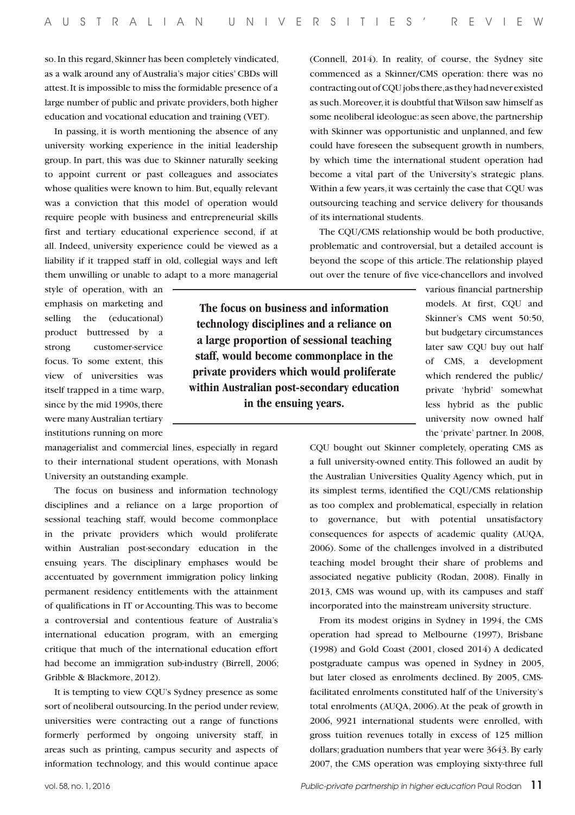**The focus on business and information technology disciplines and a reliance on a large proportion of sessional teaching staff, would become commonplace in the private providers which would proliferate within Australian post-secondary education in the ensuing years.**

so. In this regard, Skinner has been completely vindicated, as a walk around any of Australia's major cities' CBDs will attest. It is impossible to miss the formidable presence of a large number of public and private providers, both higher education and vocational education and training (VET).

In passing, it is worth mentioning the absence of any university working experience in the initial leadership group. In part, this was due to Skinner naturally seeking to appoint current or past colleagues and associates whose qualities were known to him. But, equally relevant was a conviction that this model of operation would require people with business and entrepreneurial skills first and tertiary educational experience second, if at all. Indeed, university experience could be viewed as a liability if it trapped staff in old, collegial ways and left them unwilling or unable to adapt to a more managerial (Connell, 2014). In reality, of course, the Sydney site commenced as a Skinner/CMS operation: there was no contracting out of CQU jobs there, as they had never existed as such. Moreover, it is doubtful that Wilson saw himself as some neoliberal ideologue: as seen above, the partnership with Skinner was opportunistic and unplanned, and few could have foreseen the subsequent growth in numbers, by which time the international student operation had become a vital part of the University's strategic plans. Within a few years, it was certainly the case that CQU was outsourcing teaching and service delivery for thousands of its international students.

The CQU/CMS relationship would be both productive, problematic and controversial, but a detailed account is beyond the scope of this article. The relationship played out over the tenure of five vice-chancellors and involved

style of operation, with an emphasis on marketing and selling the (educational) product buttressed by a strong customer-service focus. To some extent, this view of universities was itself trapped in a time warp, since by the mid 1990s, there were many Australian tertiary institutions running on more

managerialist and commercial lines, especially in regard to their international student operations, with Monash University an outstanding example.

The focus on business and information technology disciplines and a reliance on a large proportion of sessional teaching staff, would become commonplace in the private providers which would proliferate within Australian post-secondary education in the ensuing years. The disciplinary emphases would be accentuated by government immigration policy linking permanent residency entitlements with the attainment of qualifications in IT or Accounting. This was to become a controversial and contentious feature of Australia's international education program, with an emerging critique that much of the international education effort had become an immigration sub-industry (Birrell, 2006; Gribble & Blackmore, 2012).

It is tempting to view CQU's Sydney presence as some sort of neoliberal outsourcing. In the period under review, universities were contracting out a range of functions formerly performed by ongoing university staff, in areas such as printing, campus security and aspects of information technology, and this would continue apace

various financial partnership models. At first, CQU and Skinner's CMS went 50:50, but budgetary circumstances later saw CQU buy out half of CMS, a development which rendered the public/ private 'hybrid' somewhat less hybrid as the public university now owned half the 'private' partner. In 2008,

CQU bought out Skinner completely, operating CMS as a full university-owned entity. This followed an audit by the Australian Universities Quality Agency which, put in its simplest terms, identified the CQU/CMS relationship as too complex and problematical, especially in relation to governance, but with potential unsatisfactory consequences for aspects of academic quality (AUQA, 2006). Some of the challenges involved in a distributed teaching model brought their share of problems and associated negative publicity (Rodan, 2008). Finally in 2013, CMS was wound up, with its campuses and staff incorporated into the mainstream university structure.

From its modest origins in Sydney in 1994, the CMS operation had spread to Melbourne (1997), Brisbane (1998) and Gold Coast (2001, closed 2014) A dedicated postgraduate campus was opened in Sydney in 2005, but later closed as enrolments declined. By 2005, CMSfacilitated enrolments constituted half of the University's total enrolments (AUQA, 2006). At the peak of growth in 2006, 9921 international students were enrolled, with gross tuition revenues totally in excess of 125 million dollars; graduation numbers that year were 3643. By early 2007, the CMS operation was employing sixty-three full